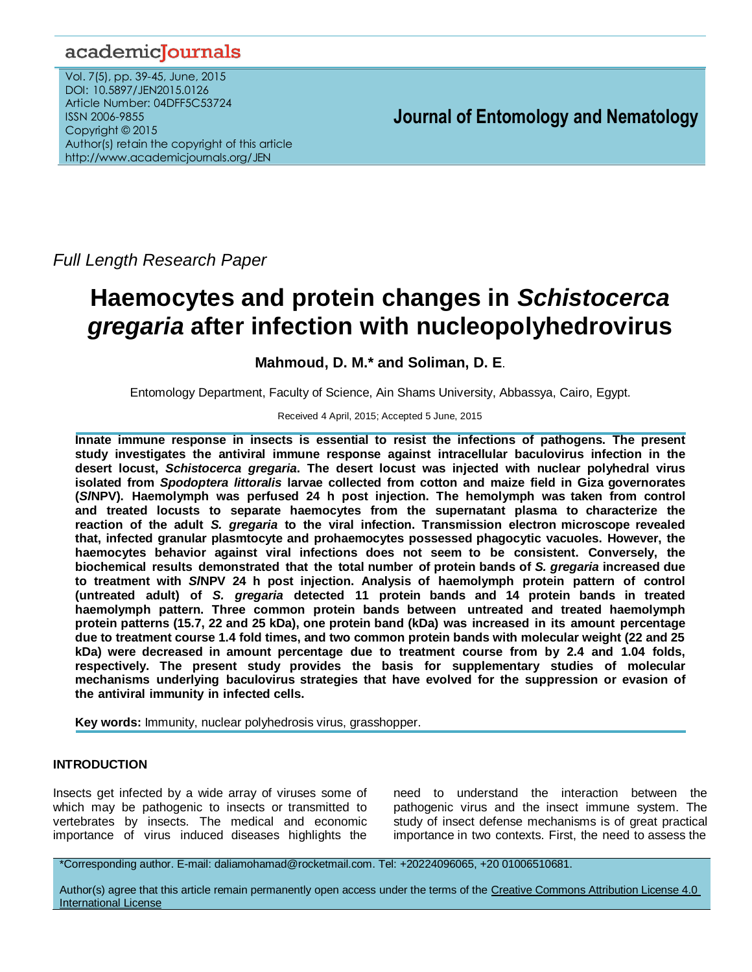## academicJournals

Vol. 7(5), pp. 39-45, June, 2015 DOI: 10.5897/JEN2015.0126 Article Number: 04DFF5C53724 ISSN 2006-9855 Copyright © 2015 Author(s) retain the copyright of this article http://www.academicjournals.org/JEN

## **Journal of Entomology and Nematology**

*Full Length Research Paper*

# **Haemocytes and protein changes in** *Schistocerca gregaria* **after infection with nucleopolyhedrovirus**

### **Mahmoud, D. M.\* and Soliman, D. E**.

Entomology Department, Faculty of Science, Ain Shams University, Abbassya, Cairo, Egypt.

#### Received 4 April, 2015; Accepted 5 June, 2015

**Innate immune response in insects is essential to resist the infections of pathogens. The present study investigates the antiviral immune response against intracellular baculovirus infection in the desert locust,** *Schistocerca gregaria***. The desert locust was injected with nuclear polyhedral virus isolated from** *Spodoptera littoralis* **larvae collected from cotton and maize field in Giza governorates (***Sl***NPV). Haemolymph was perfused 24 h post injection. The hemolymph was taken from control and treated locusts to separate haemocytes from the supernatant plasma to characterize the reaction of the adult** *S. gregaria* **to the viral infection. Transmission electron microscope revealed that, infected granular plasmtocyte and prohaemocytes possessed phagocytic vacuoles. However, the haemocytes behavior against viral infections does not seem to be consistent. Conversely, the biochemical results demonstrated that the total number of protein bands of** *S. gregaria* **increased due to treatment with** *Sl***NPV 24 h post injection. Analysis of haemolymph protein pattern of control (untreated adult) of** *S. gregaria* **detected 11 protein bands and 14 protein bands in treated haemolymph pattern. Three common protein bands between untreated and treated haemolymph protein patterns (15.7, 22 and 25 kDa), one protein band (kDa) was increased in its amount percentage due to treatment course 1.4 fold times, and two common protein bands with molecular weight (22 and 25 kDa) were decreased in amount percentage due to treatment course from by 2.4 and 1.04 folds, respectively. The present study provides the basis for supplementary studies of molecular mechanisms underlying baculovirus strategies that have evolved for the suppression or evasion of the antiviral immunity in infected cells.**

**Key words:** Immunity, nuclear polyhedrosis virus, grasshopper.

#### **INTRODUCTION**

Insects get infected by a wide array of viruses some of which may be pathogenic to insects or transmitted to vertebrates by insects. The medical and economic importance of virus induced diseases highlights the

need to understand the interaction between the pathogenic virus and the insect immune system. The study of insect defense mechanisms is of great practical importance in two contexts. First, the need to assess the

\*Corresponding author. E-mail: daliamohamad@rocketmail.com. Tel: +20224096065, +20 01006510681.

Author(s) agree that this article remain permanently open access under the terms of the Creative Commons Attribution License 4.0 [International License](http://creativecommons.org/licenses/by/4.0/deed.en_US)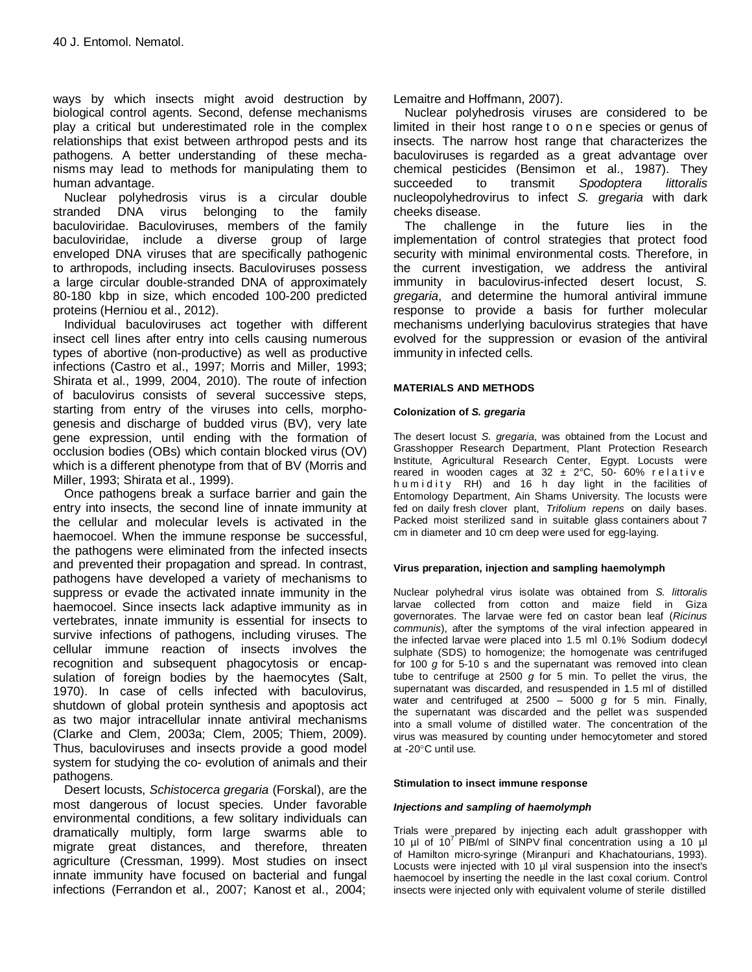ways by which insects might avoid destruction by biological control agents. Second, defense mechanisms play a critical but underestimated role in the complex relationships that exist between arthropod pests and its pathogens. A better understanding of these mechanisms may lead to methods for manipulating them to human advantage.

Nuclear polyhedrosis virus is a circular double stranded DNA virus belonging to the family baculoviridae. Baculoviruses, members of the family baculoviridae, include a diverse group of large enveloped DNA viruses that are specifically pathogenic to arthropods, including insects. Baculoviruses possess a large circular double-stranded DNA of approximately 80-180 kbp in size, which encoded 100-200 predicted proteins (Herniou et al., 2012).

Individual baculoviruses act together with different insect cell lines after entry into cells causing numerous types of abortive (non-productive) as well as productive infections (Castro et al., 1997; Morris and Miller, 1993; Shirata et al., 1999, 2004, 2010). The route of infection of baculovirus consists of several successive steps, starting from entry of the viruses into cells, morphogenesis and discharge of budded virus (BV), very late gene expression, until ending with the formation of occlusion bodies (OBs) which contain blocked virus (OV) which is a different phenotype from that of BV (Morris and Miller, 1993; Shirata et al., 1999).

Once pathogens break a surface barrier and gain the entry into insects, the second line of innate immunity at the cellular and molecular levels is activated in the haemocoel. When the immune response be successful, the pathogens were eliminated from the infected insects and prevented their propagation and spread. In contrast, pathogens have developed a variety of mechanisms to suppress or evade the activated innate immunity in the haemocoel. Since insects lack adaptive immunity as in vertebrates, innate immunity is essential for insects to survive infections of pathogens, including viruses. The cellular immune reaction of insects involves the recognition and subsequent phagocytosis or encapsulation of foreign bodies by the haemocytes (Salt, 1970). In case of cells infected with baculovirus, shutdown of global protein synthesis and apoptosis act as two major intracellular innate antiviral mechanisms (Clarke and Clem, 2003a; Clem, 2005; Thiem, 2009). Thus, baculoviruses and insects provide a good model system for studying the co- evolution of animals and their pathogens.

Desert locusts, *Schistocerca gregaria* (Forskal), are the most dangerous of locust species. Under favorable environmental conditions, a few solitary individuals can dramatically multiply, form large swarms able to migrate great distances, and therefore, threaten agriculture (Cressman, 1999). Most studies on insect innate immunity have focused on bacterial and fungal infections (Ferrandon et al., 2007; Kanost et al., 2004;

Lemaitre and Hoffmann, 2007).

Nuclear polyhedrosis viruses are considered to be limited in their host range t o one species or genus of insects. The narrow host range that characterizes the baculoviruses is regarded as a great advantage over chemical pesticides (Bensimon et al., 1987). They succeeded to transmit *Spodoptera littoralis* nucleopolyhedrovirus to infect *S. gregaria* with dark cheeks disease.

The challenge in the future lies in the implementation of control strategies that protect food security with minimal environmental costs. Therefore, in the current investigation, we address the antiviral immunity in baculovirus-infected desert locust, *S. gregaria*, and determine the humoral antiviral immune response to provide a basis for further molecular mechanisms underlying baculovirus strategies that have evolved for the suppression or evasion of the antiviral immunity in infected cells.

#### **MATERIALS AND METHODS**

#### **Colonization of** *S. gregaria*

The desert locust *S. gregaria*, was obtained from the Locust and Grasshopper Research Department, Plant Protection Research Institute, Agricultural Research Center, Egypt. Locusts were reared in wooden cages at  $32 \pm 2^{\circ}$ C, 50-60% relative humidity RH) and 16 h day light in the facilities of Entomology Department, Ain Shams University. The locusts were fed on daily fresh clover plant, *Trifolium repens* on daily bases. Packed moist sterilized sand in suitable glass containers about 7 cm in diameter and 10 cm deep were used for egg-laying.

#### **Virus preparation, injection and sampling haemolymph**

Nuclear polyhedral virus isolate was obtained from *S. littoralis* larvae collected from cotton and maize field in Giza governorates. The larvae were fed on castor bean leaf (*Ricinus communis*), after the symptoms of the viral infection appeared in the infected larvae were placed into 1.5 ml 0.1% Sodium dodecyl sulphate (SDS) to homogenize; the homogenate was centrifuged for 100 *g* for 5-10 s and the supernatant was removed into clean tube to centrifuge at 2500 *g* for 5 min. To pellet the virus, the supernatant was discarded, and resuspended in 1.5 ml of distilled water and centrifuged at 2500 – 5000 *g* for 5 min. Finally, the supernatant was discarded and the pellet was suspended into a small volume of distilled water. The concentration of the virus was measured by counting under hemocytometer and stored at -20°C until use.

#### **Stimulation to insect immune response**

#### *Injections and sampling of haemolymph*

Trials were prepared by injecting each adult grasshopper with 10  $\mu$ l of 10<sup>7</sup> PIB/ml of SINPV final concentration using a 10  $\mu$ l of Hamilton micro-syringe (Miranpuri and Khachatourians, 1993). Locusts were injected with 10 µl viral suspension into the insect's haemocoel by inserting the needle in the last coxal corium. Control insects were injected only with equivalent volume of sterile distilled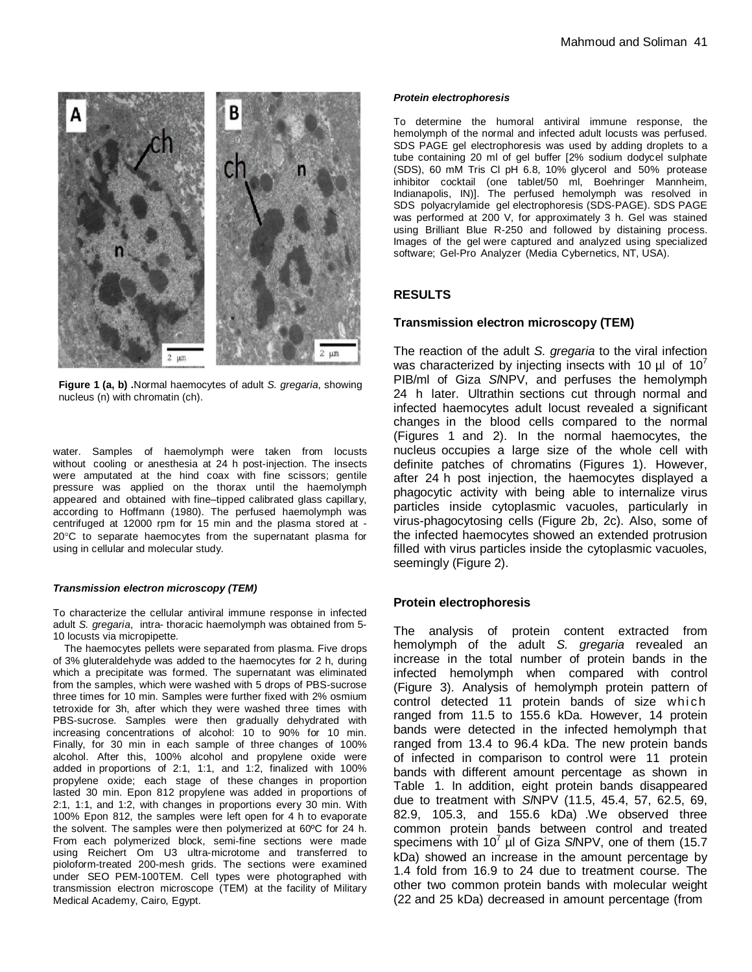

**Figure 1 (a, b) .**Normal haemocytes of adult *S. gregaria*, showing nucleus (n) with chromatin (ch).

water. Samples of haemolymph were taken from locusts without cooling or anesthesia at 24 h post-injection. The insects were amputated at the hind coax with fine scissors; gentile pressure was applied on the thorax until the haemolymph appeared and obtained with fine–tipped calibrated glass capillary, according to Hoffmann (1980). The perfused haemolymph was centrifuged at 12000 rpm for 15 min and the plasma stored at -  $20^{\circ}$ C to separate haemocytes from the supernatant plasma for using in cellular and molecular study.

#### *Transmission electron microscopy (TEM)*

To characterize the cellular antiviral immune response in infected adult *S. gregaria*, intra- thoracic haemolymph was obtained from 5- 10 locusts via micropipette.

The haemocytes pellets were separated from plasma. Five drops of 3% gluteraldehyde was added to the haemocytes for 2 h, during which a precipitate was formed. The supernatant was eliminated from the samples, which were washed with 5 drops of PBS-sucrose three times for 10 min. Samples were further fixed with 2% osmium tetroxide for 3h, after which they were washed three times with PBS-sucrose. Samples were then gradually dehydrated with increasing concentrations of alcohol: 10 to 90% for 10 min. Finally, for 30 min in each sample of three changes of 100% alcohol. After this, 100% alcohol and propylene oxide were added in proportions of 2:1, 1:1, and 1:2, finalized with 100% propylene oxide; each stage of these changes in proportion lasted 30 min. Epon 812 propylene was added in proportions of 2:1, 1:1, and 1:2, with changes in proportions every 30 min. With 100% Epon 812, the samples were left open for 4 h to evaporate the solvent. The samples were then polymerized at 60ºC for 24 h. From each polymerized block, semi-fine sections were made using Reichert Om U3 ultra-microtome and transferred to pioloform-treated 200-mesh grids. The sections were examined under SEO PEM-100TEM. Cell types were photographed with transmission electron microscope (TEM) at the facility of Military Medical Academy, Cairo, Egypt.

#### *Protein electrophoresis*

To determine the humoral antiviral immune response, the hemolymph of the normal and infected adult locusts was perfused. SDS PAGE gel electrophoresis was used by adding droplets to a tube containing 20 ml of gel buffer [2% sodium dodycel sulphate (SDS), 60 mM Tris Cl pH 6.8, 10% glycerol and 50% protease inhibitor cocktail (one tablet/50 ml, Boehringer Mannheim, Indianapolis, IN)]. The perfused hemolymph was resolved in SDS polyacrylamide gel electrophoresis (SDS-PAGE). SDS PAGE was performed at 200 V, for approximately 3 h. Gel was stained using Brilliant Blue R-250 and followed by distaining process. Images of the gel were captured and analyzed using specialized software; Gel-Pro Analyzer (Media Cybernetics, NT, USA).

#### **RESULTS**

#### **Transmission electron microscopy (TEM)**

The reaction of the adult *S. gregaria* to the viral infection was characterized by injecting insects with 10  $\mu$ l of 10<sup>7</sup> PIB/ml of Giza *Sl*NPV, and perfuses the hemolymph 24 h later. Ultrathin sections cut through normal and infected haemocytes adult locust revealed a significant changes in the blood cells compared to the normal (Figures 1 and 2). In the normal haemocytes, the nucleus occupies a large size of the whole cell with definite patches of chromatins (Figures 1). However, after 24 h post injection, the haemocytes displayed a phagocytic activity with being able to internalize virus particles inside cytoplasmic vacuoles, particularly in virus-phagocytosing cells (Figure 2b, 2c). Also, some of the infected haemocytes showed an extended protrusion filled with virus particles inside the cytoplasmic vacuoles, seemingly (Figure 2).

#### **Protein electrophoresis**

The analysis of protein content extracted from hemolymph of the adult *S. gregaria* revealed an increase in the total number of protein bands in the infected hemolymph when compared with control (Figure 3). Analysis of hemolymph protein pattern of control detected 11 protein bands of size which ranged from 11.5 to 155.6 kDa. However, 14 protein bands were detected in the infected hemolymph that ranged from 13.4 to 96.4 kDa. The new protein bands of infected in comparison to control were 11 protein bands with different amount percentage as shown in Table 1. In addition, eight protein bands disappeared due to treatment with *Sl*NPV (11.5, 45.4, 57, 62.5, 69, 82.9, 105.3, and 155.6 kDa) .We observed three common protein bands between control and treated specimens with 10<sup>7</sup> µl of Giza S/NPV, one of them (15.7 kDa) showed an increase in the amount percentage by 1.4 fold from 16.9 to 24 due to treatment course. The other two common protein bands with molecular weight (22 and 25 kDa) decreased in amount percentage (from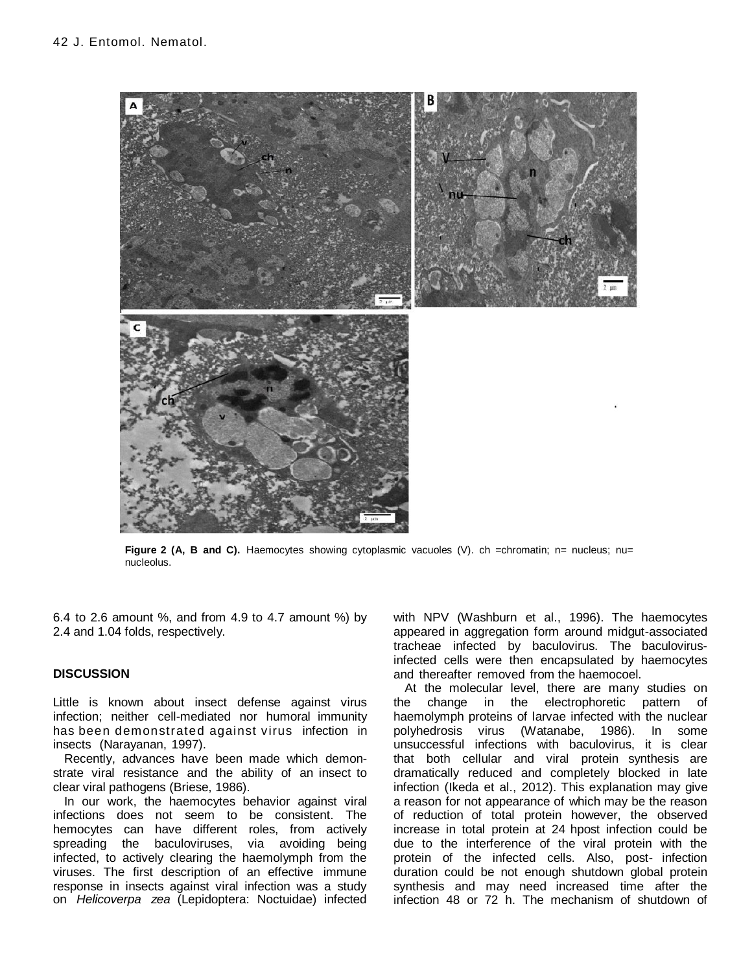

**Figure 2 (A, B and C).** Haemocytes showing cytoplasmic vacuoles (V). ch =chromatin; n= nucleus; nu= nucleolus.

6.4 to 2.6 amount %, and from 4.9 to 4.7 amount %) by 2.4 and 1.04 folds, respectively.

#### **DISCUSSION**

Little is known about insect defense against virus infection; neither cell-mediated nor humoral immunity has been demonstrated against virus infection in insects (Narayanan, 1997).

Recently, advances have been made which demonstrate viral resistance and the ability of an insect to clear viral pathogens (Briese, 1986).

In our work, the haemocytes behavior against viral infections does not seem to be consistent. The hemocytes can have different roles, from actively spreading the baculoviruses, via avoiding being infected, to actively clearing the haemolymph from the viruses. The first description of an effective immune response in insects against viral infection was a study on *Helicoverpa zea* (Lepidoptera: Noctuidae) infected

with NPV (Washburn et al., 1996). The haemocytes appeared in aggregation form around midgut-associated tracheae infected by baculovirus. The baculovirusinfected cells were then encapsulated by haemocytes and thereafter removed from the haemocoel.

At the molecular level, there are many studies on the change in the electrophoretic pattern of haemolymph proteins of larvae infected with the nuclear polyhedrosis virus (Watanabe, 1986). In some unsuccessful infections with baculovirus, it is clear that both cellular and viral protein synthesis are dramatically reduced and completely blocked in late infection [\(Ikeda](http://www.sciencedirect.com/science/article/pii/S0042682212005144) et al., 2012). This explanation may give a reason for not appearance of which may be the reason of reduction of total protein however, the observed increase in total protein at 24 hpost infection could be due to the interference of the viral protein with the protein of the infected cells. Also, post- infection duration could be not enough shutdown global protein synthesis and may need increased time after the infection 48 or 72 h. The mechanism of shutdown of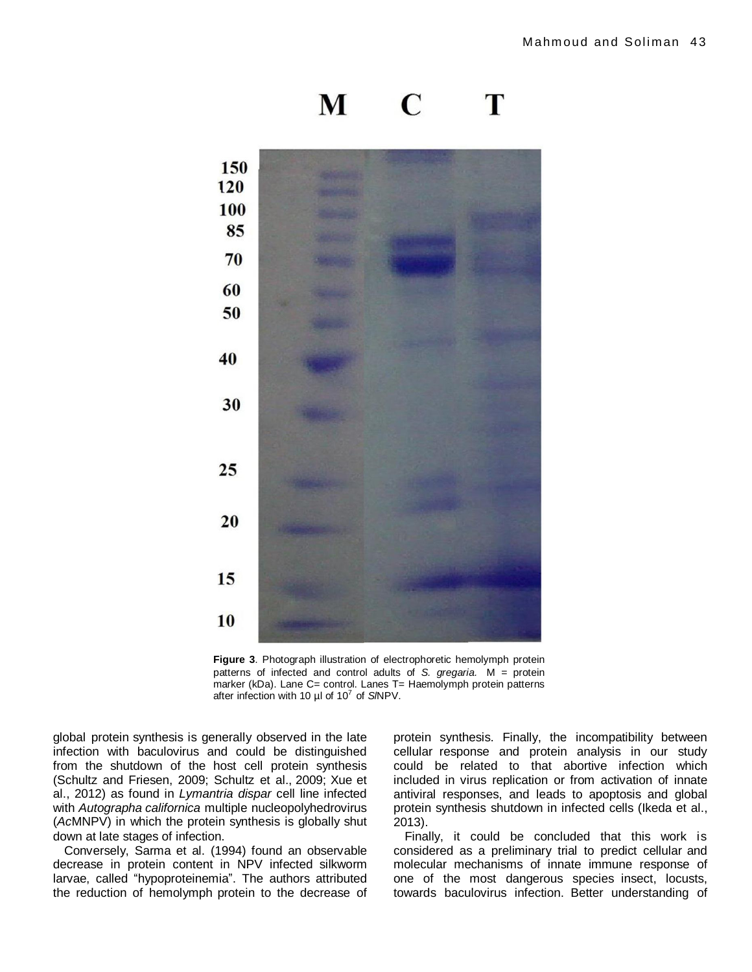



**Figure 3**. Photograph illustration of electrophoretic hemolymph protein patterns of infected and control adults of *S. gregaria.* M = protein marker (kDa). Lane C= control. Lanes T= Haemolymph protein patterns after infection with 10 µl of 10 7 of *Sl*NPV.

global protein synthesis is generally observed in the late infection with baculovirus and could be distinguished from the shutdown of the host cell protein synthesis (Schultz and Friesen, 2009; Schultz et al., 2009; Xue et al., 2012) as found in *Lymantria dispar* cell line infected with *Autographa californica* multiple nucleopolyhedrovirus (*Ac*MNPV) in which the protein synthesis is globally shut down at late stages of infection.

Conversely, Sarma et al. (1994) found an observable decrease in protein content in NPV infected silkworm larvae, called "hypoproteinemia". The authors attributed the reduction of hemolymph protein to the decrease of protein synthesis. Finally, the incompatibility between cellular response and protein analysis in our study could be related to that abortive infection which included in virus replication or from activation of innate antiviral responses, and leads to apoptosis and global protein synthesis shutdown in infected cells (Ikeda et al., 2013).

Finally, it could be concluded that this work is considered as a preliminary trial to predict cellular and molecular mechanisms of innate immune response of one of the most dangerous species insect, locusts, towards baculovirus infection. Better understanding of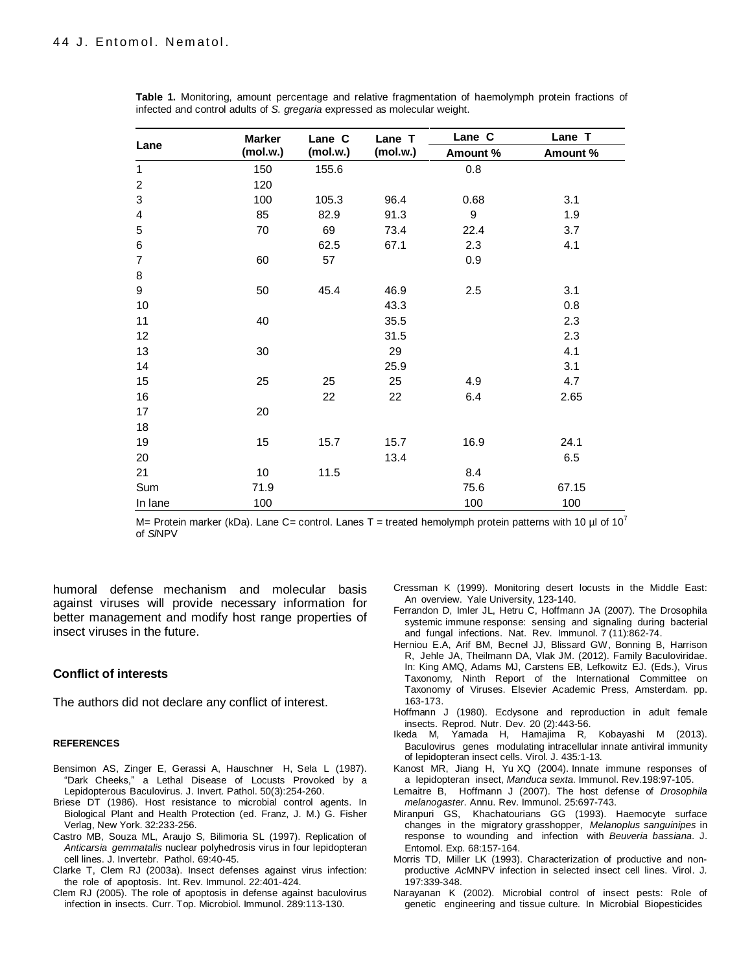| Lane             | <b>Marker</b><br>(mol.w.) | Lane C<br>(mol.w.) | Lane T<br>(mol.w.) | Lane C           | Lane T   |
|------------------|---------------------------|--------------------|--------------------|------------------|----------|
|                  |                           |                    |                    | Amount %         | Amount % |
| $\mathbf 1$      | 150                       | 155.6              |                    | 0.8              |          |
| $\boldsymbol{2}$ | 120                       |                    |                    |                  |          |
| 3                | 100                       | 105.3              | 96.4               | 0.68             | 3.1      |
| 4                | 85                        | 82.9               | 91.3               | $\boldsymbol{9}$ | 1.9      |
| $\mathbf 5$      | 70                        | 69                 | 73.4               | 22.4             | 3.7      |
| $\,6$            |                           | 62.5               | 67.1               | 2.3              | 4.1      |
| $\overline{7}$   | 60                        | 57                 |                    | 0.9              |          |
| $\bf 8$          |                           |                    |                    |                  |          |
| 9                | 50                        | 45.4               | 46.9               | 2.5              | 3.1      |
| 10               |                           |                    | 43.3               |                  | 0.8      |
| 11               | 40                        |                    | 35.5               |                  | 2.3      |
| 12               |                           |                    | 31.5               |                  | 2.3      |
| 13               | 30                        |                    | 29                 |                  | 4.1      |
| 14               |                           |                    | 25.9               |                  | 3.1      |
| 15               | 25                        | 25                 | 25                 | 4.9              | 4.7      |
| 16               |                           | 22                 | 22                 | 6.4              | 2.65     |
| 17               | 20                        |                    |                    |                  |          |
| 18               |                           |                    |                    |                  |          |
| 19               | 15                        | 15.7               | 15.7               | 16.9             | 24.1     |
| 20               |                           |                    | 13.4               |                  | 6.5      |
| 21               | 10                        | 11.5               |                    | 8.4              |          |
| Sum              | 71.9                      |                    |                    | 75.6             | 67.15    |
| In lane          | 100                       |                    |                    | 100              | 100      |

**Table 1.** Monitoring, amount percentage and relative fragmentation of haemolymph protein fractions of infected and control adults of *S. gregaria* expressed as molecular weight.

M= Protein marker (kDa). Lane C= control. Lanes T = treated hemolymph protein patterns with 10 µl of 10<sup>7</sup> of *Sl*NPV

humoral defense mechanism and molecular basis against viruses will provide necessary information for better management and modify host range properties of insect viruses in the future.

#### **Conflict of interests**

The authors did not declare any conflict of interest.

#### **REFERENCES**

- Bensimon AS, Zinger E, Gerassi A, Hauschner H, Sela L (1987). "Dark Cheeks," a Lethal Disease of Locusts Provoked by a Lepidopterous Baculovirus. J. Invert. Pathol. 50(3):254-260.
- Briese DT (1986). Host resistance to microbial control agents. In Biological Plant and Health Protection (ed. Franz, J. M.) G. Fisher Verlag, New York. 32:233-256.
- Castro MB, Souza ML, Araujo S, Bilimoria SL (1997). Replication of *Anticarsia gemmatalis* nuclear polyhedrosis virus in four lepidopteran cell lines. J. Invertebr. Pathol. 69:40-45.
- Clarke T, Clem RJ (2003a). Insect defenses against virus infection: the role of apoptosis. Int. Rev. Immunol. 22:401-424.
- Clem RJ (2005). The role of apoptosis in defense against baculovirus infection in insects. Curr. Top. Microbiol. Immunol. 289:113-130.

Cressman K (1999). Monitoring desert locusts in the Middle East: An overview. Yale University, 123-140.

- [Ferrandon](http://www.ncbi.nlm.nih.gov/pubmed/?term=Ferrandon%20D%5BAuthor%5D&cauthor=true&cauthor_uid=17948019) D, [Imler](http://www.ncbi.nlm.nih.gov/pubmed/?term=Ferrandon%20D%5BAuthor%5D&cauthor=true&cauthor_uid=17948019) JL, [Hetru](http://www.ncbi.nlm.nih.gov/pubmed/?term=Hetru%20C%5BAuthor%5D&cauthor=true&cauthor_uid=17948019) C, [Hoffmann](http://www.ncbi.nlm.nih.gov/pubmed/?term=Hetru%20C%5BAuthor%5D&cauthor=true&cauthor_uid=17948019) JA (2007). The Drosophila systemic immune response: sensing and signaling during bacterial and fungal infections. Nat. Rev. [Immunol.](http://www.ncbi.nlm.nih.gov/pubmed/17948019) 7 (11):862-74.
- Herniou E.A, Arif BM, Becnel JJ, Blissard GW, Bonning B, Harrison R, Jehle JA, Theilmann DA, Vlak JM. (2012). Family Baculoviridae. In: King AMQ, Adams MJ, Carstens EB, Lefkowitz EJ. (Eds.), Virus Taxonomy, Ninth Report of the International Committee on Taxonomy of Viruses. Elsevier Academic Press, Amsterdam. pp. 163-173.
- [Hoffmann](http://www.ncbi.nlm.nih.gov/pubmed/?term=Hoffmann%20J%5BAuthor%5D&cauthor=true&cauthor_uid=6760276) J (1980). Ecdysone and reproduction in adult female insects. [Reprod.](http://www.ncbi.nlm.nih.gov/pubmed/6760276) Nutr. Dev. 20 (2):443-56.
- Ikeda M*,* Yamada H*,* Hamajima R*,* Kobayashi M (2013). Baculovirus genes modulating intracellular innate antiviral immunity of lepidopteran insect cells*.* Virol. J. 435*:*1*-*13*.*
- [Kanost MR,](http://www.ncbi.nlm.nih.gov/pubmed/?term=Kanost%20MR%5BAuthor%5D&cauthor=true&cauthor_uid=15199957) Jiang H, [Yu XQ](http://www.ncbi.nlm.nih.gov/pubmed/?term=Yu%20XQ%5BAuthor%5D&cauthor=true&cauthor_uid=15199957) (2004). Innate immune responses of a lepidopteran insect, *Manduca sexta*. Immunol. Rev.198:97-105.
- [Lemaitre](http://www.ncbi.nlm.nih.gov/pubmed/?term=Lemaitre%20B%5BAuthor%5D&cauthor=true&cauthor_uid=17201680) B, [Hoffmann](http://www.ncbi.nlm.nih.gov/pubmed/?term=Hoffmann%20J%5BAuthor%5D&cauthor=true&cauthor_uid=17201680) J (2007). The host defense of *Drosophila melanogaster*. [Annu.](http://www.ncbi.nlm.nih.gov/pubmed/17201680) Rev. [Immunol. 2](http://www.ncbi.nlm.nih.gov/pubmed/17201680)5:697-743.
- Miranpuri GS, Khachatourians GG (1993). Haemocyte surface changes in the migratory grasshopper, *Melanoplus sanguinipes* in response to wounding and infection with *Beuveria bassiana*. J. Entomol. Exp. 68:157-164.
- Morris TD, Miller LK (1993). Characterization of productive and nonproductive *Ac*MNPV infection in selected insect cell lines. Virol. J*.*  197:339-348.
- Narayanan K (2002). Microbial control of insect pests: Role of genetic engineering and tissue culture. In Microbial Biopesticides